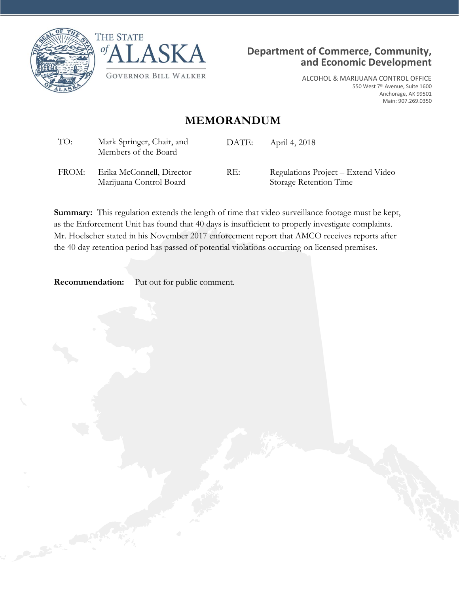





ALCOHOL & MARIJUANA CONTROL OFFICE 550 West 7th Avenue, Suite 1600 Anchorage, AK 99501 Main: 907.269.0350

## **MEMORANDUM**

| TO:   | Mark Springer, Chair, and<br>Members of the Board    | DATE: | April 4, 2018                                                |
|-------|------------------------------------------------------|-------|--------------------------------------------------------------|
| FROM: | Erika McConnell, Director<br>Marijuana Control Board | RE:   | Regulations Project – Extend Video<br>Storage Retention Time |

**Summary:** This regulation extends the length of time that video surveillance footage must be kept, as the Enforcement Unit has found that 40 days is insufficient to properly investigate complaints. Mr. Hoelscher stated in his November 2017 enforcement report that AMCO receives reports after the 40 day retention period has passed of potential violations occurring on licensed premises.

**Recommendation:** Put out for public comment.